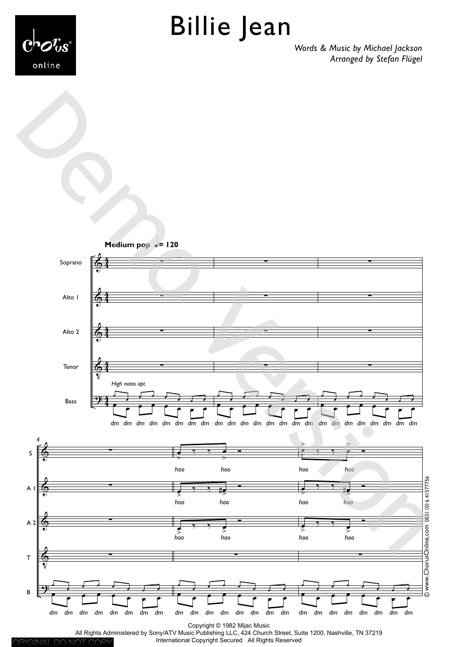

ORIGINAL DO NOT COPY

## Billie Jean

*Words & Music by Michael Jackson Arranged by Stefan Flügel*



All Rights Administered by Sony/ATV Music Publishing LLC, 424 Church Street, Suite 1200, Nashville, TN 37219 International Copyright Secured All Rights Reserved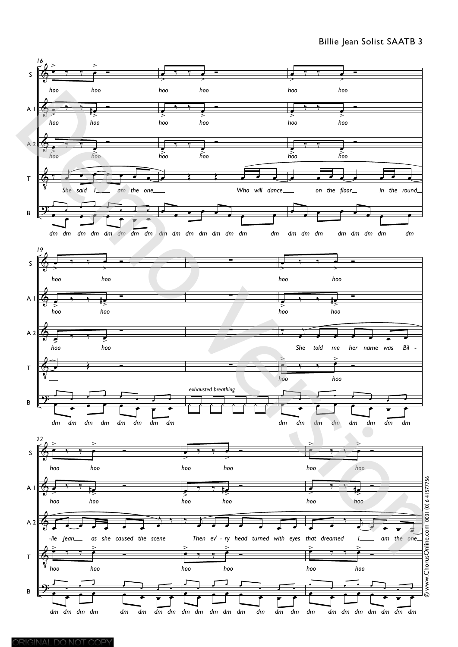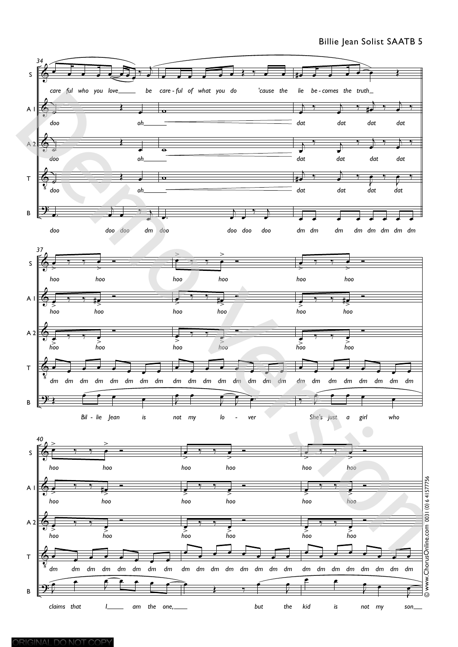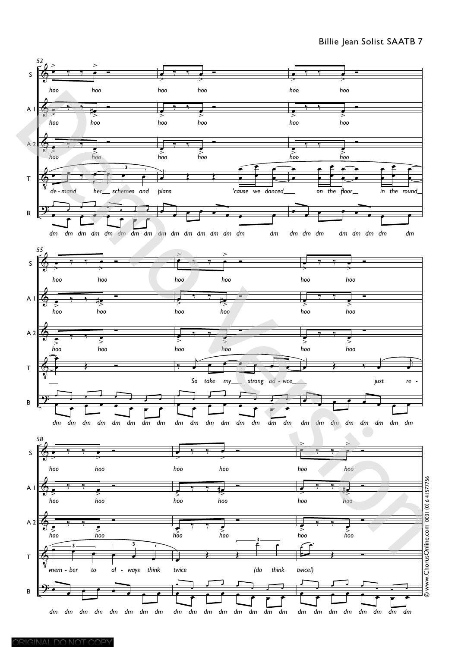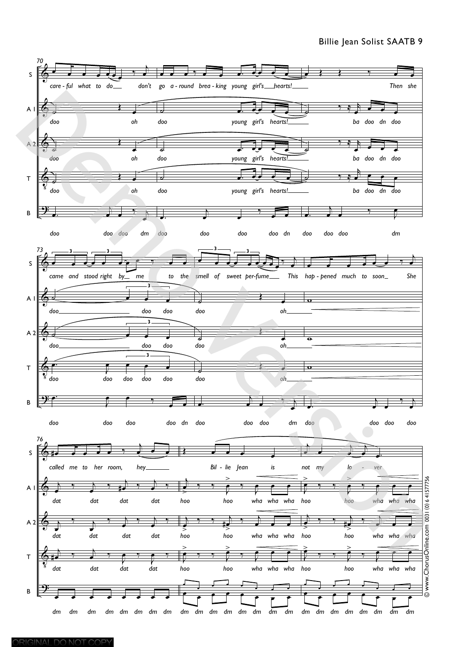## Billie Jean Solist SAATB 9



ORIGINAL DO NOT COPY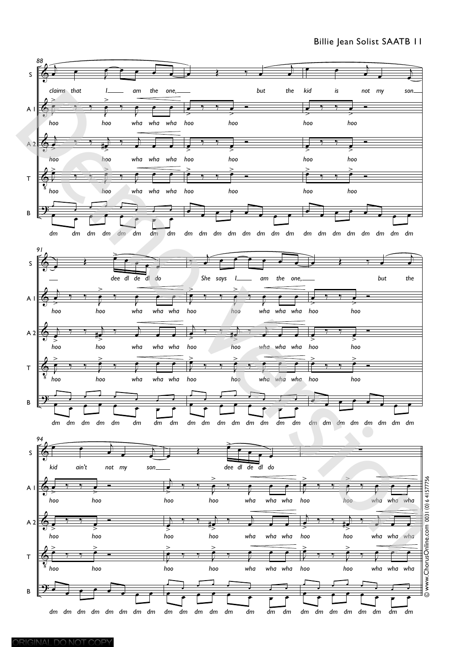